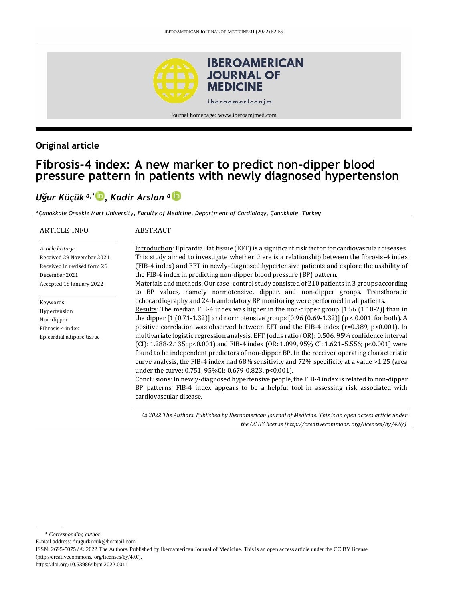

### **Original article**

# **Fibrosis-4 index: A new marker to predict non-dipper blood pressure pattern in patients with newly diagnosed hypertension**

## *Uğur Küçük a,\* [,](http://orcid.org/0000-0003-4669-7387) Kadir Arslan <sup>a</sup>*

*<sup>a</sup>Çanakkale Onsekiz Mart University, Faculty of Medicine, Department of Cardiology, Çanakkale, Turkey*

| <b>ARTICLE INFO</b>                                                                                                       | ABSTRACT                                                                                                                                                                                                                                                                                                                                                                                                                                                                                                                                                                                                                                                                                                                                                                                                                                                                                                                                                                                                                                                                            |
|---------------------------------------------------------------------------------------------------------------------------|-------------------------------------------------------------------------------------------------------------------------------------------------------------------------------------------------------------------------------------------------------------------------------------------------------------------------------------------------------------------------------------------------------------------------------------------------------------------------------------------------------------------------------------------------------------------------------------------------------------------------------------------------------------------------------------------------------------------------------------------------------------------------------------------------------------------------------------------------------------------------------------------------------------------------------------------------------------------------------------------------------------------------------------------------------------------------------------|
| Article history:<br>Received 29 November 2021<br>Received in revised form 26<br>December 2021<br>Accepted 18 January 2022 | Introduction: Epicardial fat tissue (EFT) is a significant risk factor for cardiovascular diseases.<br>This study aimed to investigate whether there is a relationship between the fibrosis-4 index<br>(FIB-4 index) and EFT in newly-diagnosed hypertensive patients and explore the usability of<br>the FIB-4 index in predicting non-dipper blood pressure (BP) pattern.<br>Materials and methods: Our case-control study consisted of 210 patients in 3 groups according<br>to BP values, namely normotensive, dipper, and non-dipper groups. Transthoracic                                                                                                                                                                                                                                                                                                                                                                                                                                                                                                                     |
| Keywords:<br>Hypertension<br>Non-dipper<br>Fibrosis-4 index<br>Epicardial adipose tissue                                  | echocardiography and 24-h ambulatory BP monitoring were performed in all patients.<br>Results: The median FIB-4 index was higher in the non-dipper group [1.56 (1.10-2)] than in<br>the dipper $[1 (0.71 - 1.32)]$ and normotensive groups [0.96 (0.69-1.32)] (p < 0.001, for both). A<br>positive correlation was observed between EFT and the FIB-4 index (r=0.389, p<0.001). In<br>multivariate logistic regression analysis, EFT (odds ratio (OR): 0.506, 95% confidence interval<br>$[CI]: 1.288-2.135; p<0.001]$ and FIB-4 index $[OR: 1.099, 95\% CI: 1.621-5.556; p<0.001]$ were<br>found to be independent predictors of non-dipper BP. In the receiver operating characteristic<br>curve analysis, the FIB-4 index had $68\%$ sensitivity and $72\%$ specificity at a value $>1.25$ (area<br>under the curve: 0.751, 95%CI: 0.679-0.823, p<0.001).<br>Conclusions: In newly-diagnosed hypertensive people, the FIB-4 index is related to non-dipper<br>BP patterns. FIB-4 index appears to be a helpful tool in assessing risk associated with<br>cardiovascular disease. |

*© 2022 The Authors. Published by Iberoamerican Journal of Medicine. This is an open access article under the CC BY license (http:/[/creativecommons. org/licenses/by/4.0/\)](https://creativecommons.org/licenses/by/4.0/).*

\* *Corresponding author.*

E-mail address: [drugurkucuk@hotmail.com](mailto:drugurkucuk@hotmail.com)

ISSN: 2695-5075 / © 2022 The Authors. Published by Iberoamerican Journal of Medicine. This is an open access article under the CC BY license (http:/[/creativecommons. org/licenses/by/4.0/\).](https://creativecommons.org/licenses/by/4.0/)

<https://doi.org/10.53986/ibjm.2022.0011>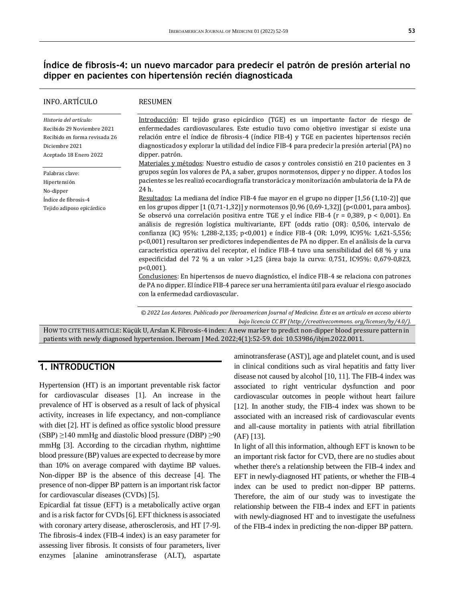### **Índice de fibrosis-4: un nuevo marcador para predecir el patrón de presión arterial no dipper en pacientes con hipertensión recién diagnosticada**

| <b>INFO. ARTÍCULO</b>                                                                                                             | <b>RESUMEN</b>                                                                                                                                                                                                                                                                                                                                                                                                                                                                                                                                                                                                                                                                                                                                                                                                                                                                                                                                 |
|-----------------------------------------------------------------------------------------------------------------------------------|------------------------------------------------------------------------------------------------------------------------------------------------------------------------------------------------------------------------------------------------------------------------------------------------------------------------------------------------------------------------------------------------------------------------------------------------------------------------------------------------------------------------------------------------------------------------------------------------------------------------------------------------------------------------------------------------------------------------------------------------------------------------------------------------------------------------------------------------------------------------------------------------------------------------------------------------|
| Historia del artículo:<br>Recibido 29 Noviembre 2021<br>Recibido en forma revisada 26<br>Diciembre 2021<br>Aceptado 18 Enero 2022 | Introducción: El tejido graso epicárdico (TGE) es un importante factor de riesgo de<br>enfermedades cardiovasculares. Este estudio tuvo como objetivo investigar si existe una<br>relación entre el índice de fibrosis-4 (índice FIB-4) y TGE en pacientes hipertensos recién<br>diagnosticados y explorar la utilidad del índice FIB-4 para predecir la presión arterial (PA) no<br>dipper. patrón.<br>Materiales y métodos: Nuestro estudio de casos y controles consistió en 210 pacientes en 3                                                                                                                                                                                                                                                                                                                                                                                                                                             |
| Palabras clave:                                                                                                                   | grupos según los valores de PA, a saber, grupos normotensos, dipper y no dipper. A todos los                                                                                                                                                                                                                                                                                                                                                                                                                                                                                                                                                                                                                                                                                                                                                                                                                                                   |
| Hipertensión                                                                                                                      | pacientes se les realizó ecocardiografía transtorácica y monitorización ambulatoria de la PA de                                                                                                                                                                                                                                                                                                                                                                                                                                                                                                                                                                                                                                                                                                                                                                                                                                                |
| No-dipper                                                                                                                         | 24 h.                                                                                                                                                                                                                                                                                                                                                                                                                                                                                                                                                                                                                                                                                                                                                                                                                                                                                                                                          |
| Índice de fibrosis-4                                                                                                              | Resultados: La mediana del índice FIB-4 fue mayor en el grupo no dipper $[1,56 (1,10-2)]$ que                                                                                                                                                                                                                                                                                                                                                                                                                                                                                                                                                                                                                                                                                                                                                                                                                                                  |
| Tejido adiposo epicárdico                                                                                                         | en los grupos dipper [1 (0,71-1,32)] y normotensos [0,96 (0,69-1,32)] (p<0.001, para ambos).<br>Se observó una correlación positiva entre TGE y el índice FIB-4 ( $r = 0.389$ , $p < 0.001$ ). En<br>análisis de regresión logística multivariante, EFT (odds ratio (OR): 0,506, intervalo de<br>confianza (IC) 95%: 1,288-2,135; p<0,001) e índice FIB-4 (OR: 1,099, IC95%: 1,621-5,556;<br>p<0,001) resultaron ser predictores independientes de PA no dipper. En el análisis de la curva<br>característica operativa del receptor, el índice FIB-4 tuvo una sensibilidad del 68 % y una<br>especificidad del 72 % a un valor >1,25 (área bajo la curva: 0,751, IC95%: 0,679-0,823,<br>$p<0,001$ ).<br>Conclusiones: En hipertensos de nuevo diagnóstico, el índice FIB-4 se relaciona con patrones<br>de PA no dipper. El índice FIB-4 parece ser una herramienta útil para evaluar el riesgo asociado<br>con la enfermedad cardiovascular. |
|                                                                                                                                   | © 2022 Los Autores. Publicado por Iberoamerican Journal of Medicine. Éste es un artículo en acceso abierto<br>bajo licencia CC BY (http://creativecommons.org/licenses/by/4.0/).                                                                                                                                                                                                                                                                                                                                                                                                                                                                                                                                                                                                                                                                                                                                                               |
|                                                                                                                                   | How to curr thus apple to Kücük II, Arslan K, Fibrosis-4 index: A new marker to predict non-dinner blood pressure pattern in                                                                                                                                                                                                                                                                                                                                                                                                                                                                                                                                                                                                                                                                                                                                                                                                                   |

HOW TO CITE THIS ARTICLE: Küçük U, Arslan K. Fibrosis-4 index: A new marker to predict non-dipper blood pressure pattern in patients with newly diagnosed hypertension. Iberoam J Med. 2022;4(1):52-59. doi[: 10.53986/ibjm.2022.0011.](https://doi.org/10.53986/ibjm.2022.0011)

### **1. INTRODUCTION**

Hypertension (HT) is an important preventable risk factor for cardiovascular diseases [1]. An increase in the prevalence of HT is observed as a result of lack of physical activity, increases in life expectancy, and non-compliance with diet [2]. HT is defined as office systolic blood pressure  $(SBP) \ge 140$  mmHg and diastolic blood pressure (DBP)  $\ge 90$ mmHg [3]. According to the circadian rhythm, nighttime blood pressure (BP) values are expected to decrease by more than 10% on average compared with daytime BP values. Non-dipper BP is the absence of this decrease [4]. The presence of non-dipper BP pattern is an important risk factor for cardiovascular diseases (CVDs) [5].

Epicardial fat tissue (EFT) is a metabolically active organ and is a risk factor for CVDs [6]. EFT thickness is associated with coronary artery disease, atherosclerosis, and HT [7-9]. The fibrosis-4 index (FIB-4 index) is an easy parameter for assessing liver fibrosis. It consists of four parameters, liver enzymes [alanine aminotransferase (ALT), aspartate

aminotransferase (AST)], age and platelet count, and is used in clinical conditions such as viral hepatitis and fatty liver disease not caused by alcohol [10, 11]. The FIB-4 index was associated to right ventricular dysfunction and poor cardiovascular outcomes in people without heart failure [12]. In another study, the FIB-4 index was shown to be associated with an increased risk of cardiovascular events and all-cause mortality in patients with atrial fibrillation (AF) [13].

In light of all this information, although EFT is known to be an important risk factor for CVD, there are no studies about whether there's a relationship between the FIB-4 index and EFT in newly-diagnosed HT patients, or whether the FIB-4 index can be used to predict non-dipper BP patterns. Therefore, the aim of our study was to investigate the relationship between the FIB-4 index and EFT in patients with newly-diagnosed HT and to investigate the usefulness of the FIB-4 index in predicting the non-dipper BP pattern.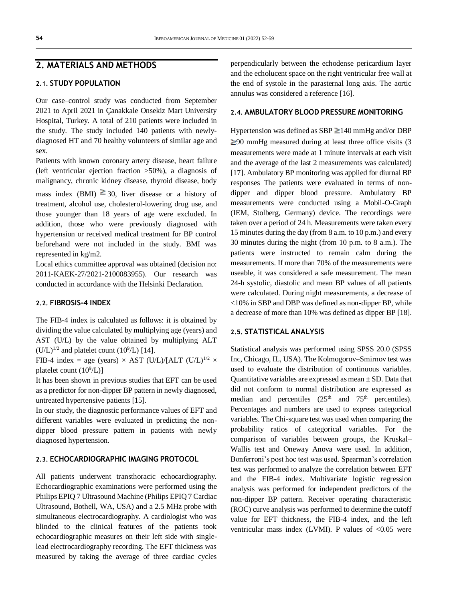### **2. MATERIALS AND METHODS**

#### **2.1. STUDY POPULATION**

Our case–control study was conducted from September 2021 to April 2021 in Çanakkale Onsekiz Mart University Hospital, Turkey. A total of 210 patients were included in the study. The study included 140 patients with newlydiagnosed HT and 70 healthy volunteers of similar age and sex.

Patients with known coronary artery disease, heart failure (left ventricular ejection fraction >50%), a diagnosis of malignancy, chronic kidney disease, thyroid disease, body

mass index (BMI)  $\geq$  30, liver disease or a history of treatment, alcohol use, cholesterol-lowering drug use, and those younger than 18 years of age were excluded. In addition, those who were previously diagnosed with hypertension or received medical treatment for BP control beforehand were not included in the study. BMI was represented in kg/m2.

Local ethics committee approval was obtained (decision no: 2011-KAEK-27/2021-2100083955). Our research was conducted in accordance with the Helsinki Declaration.

#### **2.2. FIBROSIS-4 INDEX**

The FIB-4 index is calculated as follows: it is obtained by dividing the value calculated by multiplying age (years) and AST (U/L) by the value obtained by multiplying ALT  $(U/L)^{1/2}$  and platelet count  $(10^9/L)$  [14].

FIB-4 index = age (years)  $\times$  AST (U/L)/[ALT (U/L)<sup>1/2</sup>  $\times$ platelet count  $(10^9/L)$ ]

It has been shown in previous studies that EFT can be used as a predictor for non-dipper BP pattern in newly diagnosed, untreated hypertensive patients [15].

In our study, the diagnostic performance values of EFT and different variables were evaluated in predicting the nondipper blood pressure pattern in patients with newly diagnosed hypertension.

#### **2.3. ECHOCARDIOGRAPHIC IMAGING PROTOCOL**

All patients underwent transthoracic echocardiography. Echocardiographic examinations were performed using the Philips EPIQ 7 Ultrasound Machine (Philips EPIQ 7 Cardiac Ultrasound, Bothell, WA, USA) and a 2.5 MHz probe with simultaneous electrocardiography. A cardiologist who was blinded to the clinical features of the patients took echocardiographic measures on their left side with singlelead electrocardiography recording. The EFT thickness was measured by taking the average of three cardiac cycles

perpendicularly between the echodense pericardium layer and the echolucent space on the right ventricular free wall at the end of systole in the parasternal long axis. The aortic annulus was considered a reference [16].

#### **2.4. AMBULATORY BLOOD PRESSURE MONITORING**

Hypertension was defined as SBP  $\geq 140$  mmHg and/or DBP  $\geq$ 90 mmHg measured during at least three office visits (3) measurements were made at 1 minute intervals at each visit and the average of the last 2 measurements was calculated) [17]. Ambulatory BP monitoring was applied for diurnal BP responses The patients were evaluated in terms of nondipper and dipper blood pressure. Ambulatory BP measurements were conducted using a Mobil-O-Graph (IEM, Stolberg, Germany) device. The recordings were taken over a period of 24 h. Measurements were taken every 15 minutes during the day (from 8 a.m. to 10 p.m.) and every 30 minutes during the night (from 10 p.m. to 8 a.m.). The patients were instructed to remain calm during the measurements. If more than 70% of the measurements were useable, it was considered a safe measurement. The mean 24-h systolic, diastolic and mean BP values of all patients were calculated. During night measurements, a decrease of <10% in SBP and DBP was defined as non-dipper BP, while a decrease of more than 10% was defined as dipper BP [18].

#### **2.5. STATISTICAL ANALYSIS**

Statistical analysis was performed using SPSS 20.0 (SPSS Inc, Chicago, IL, USA). The Kolmogorov–Smirnov test was used to evaluate the distribution of continuous variables. Quantitative variables are expressed as mean  $\pm$  SD. Data that did not conform to normal distribution are expressed as median and percentiles  $(25<sup>th</sup>$  and  $75<sup>th</sup>$  percentiles). Percentages and numbers are used to express categorical variables. The Chi-square test was used when comparing the probability ratios of categorical variables. For the comparison of variables between groups, the Kruskal– Wallis test and Oneway Anova were used. In addition, Bonferroni's post hoc test was used. Spearman's correlation test was performed to analyze the correlation between EFT and the FIB-4 index. Multivariate logistic regression analysis was performed for independent predictors of the non-dipper BP pattern. Receiver operating characteristic (ROC) curve analysis was performed to determine the cutoff value for EFT thickness, the FIB-4 index, and the left ventricular mass index  $(LVMI)$ . P values of  $<0.05$  were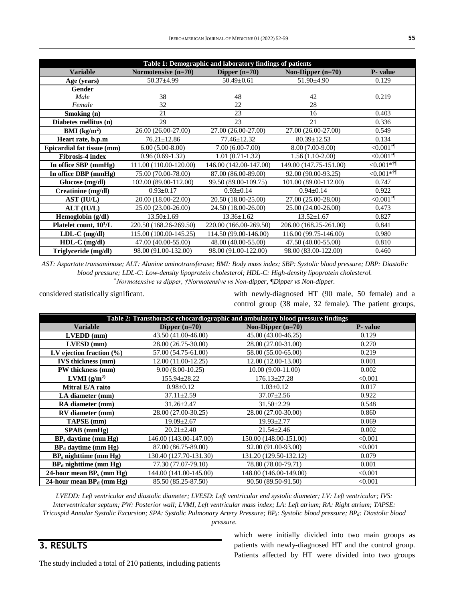| Table 1: Demographic and laboratory findings of patients |                        |                                        |                                 |                           |  |  |
|----------------------------------------------------------|------------------------|----------------------------------------|---------------------------------|---------------------------|--|--|
| <b>Variable</b>                                          | Normotensive $(n=70)$  | Dipper $(n=70)$<br>Non-Dipper $(n=70)$ |                                 | <b>P</b> - value          |  |  |
| Age (years)                                              | $50.37 \pm 4.99$       | $50.49 \pm 0.61$                       | $51.90 \pm 4.90$                | 0.129                     |  |  |
| Gender                                                   |                        |                                        |                                 |                           |  |  |
| Male                                                     | 38                     | 48                                     | 42                              | 0.219                     |  |  |
| Female                                                   | 32                     | 22                                     | 28                              |                           |  |  |
| Smoking (n)                                              | 21                     | 23                                     | 16                              | 0.403                     |  |  |
| Diabetes mellitus (n)                                    | 29                     | 23                                     | 21                              | 0.336                     |  |  |
| BMI $(kg/m2)$                                            | 26.00 (26.00-27.00)    | 27.00 (26.00-27.00)                    | 27.00 (26.00-27.00)             | 0.549                     |  |  |
| Heart rate, b.p.m                                        | $76.21 \pm 12.86$      | 77.46±12.32                            | $80.39 \pm 12.53$               | 0.134                     |  |  |
| Epicardial fat tissue (mm)                               | $6.00(5.00-8.00)$      | $7.00(6.00-7.00)$                      | 8.00 (7.00-9.00)                | $<$ 0.001 $^{\dagger}$    |  |  |
| <b>Fibrosis-4 index</b>                                  | $0.96(0.69-1.32)$      | $1.01(0.71-1.32)$                      | $1.56(1.10-2.00)$               | $<$ 0.001 $^{\dagger}$    |  |  |
| In office SBP (mmHg)                                     | 111.00 (110.00-120.00) |                                        | 149.00 (147.75-151.00)          | $<$ 0.001* $^{\dagger}$ 1 |  |  |
| In office DBP (mmHg)                                     | 75.00 (70.00-78.00)    | 87.00 (86.00-89.00)                    | 92.00 (90.00-93.25)             | $<0.001**$                |  |  |
| Glucose (mg/dl)                                          | 102.00 (89.00-112.00)  | 99.50 (89.00-109.75)                   | 101.00 (89.00-112.00)           | 0.747                     |  |  |
| Creatinine (mg/dl)                                       | $0.93 \pm 0.17$        | $0.93 \pm 0.14$                        | $0.94 \pm 0.14$                 | 0.922                     |  |  |
| <b>AST (IU/L)</b>                                        | 20.00 (18.00-22.00)    | 20.50 (18.00-25.00)                    | 27.00 (25.00-28.00)             | $<$ 0.001 $^{\dagger}$    |  |  |
| ALT (IU/L)                                               | 25.00 (23.00-26.00)    | 24.50 (18.00-26.00)                    | 25.00 (24.00-26.00)             | 0.473                     |  |  |
| Hemoglobin (g/dl)                                        | $13.50 \pm 1.69$       | $13.36 \pm 1.62$                       | $13.52 \pm 1.67$                | 0.827                     |  |  |
| Platelet count, 10 <sup>3</sup> /L                       | 220.50 (168.26-269.50) | 220.00 (166.00-269.50)                 | 206.00 (168.25-261.00)          | 0.841                     |  |  |
| $LDL-C$ (mg/dl)                                          | 115.00 (100.00-145.25) | 114.50 (99.00-146.00)                  | 116.00 (99.75-146.00)           | 0.980                     |  |  |
| $HDL-C$ (mg/dl)                                          | 47.00 (40.00-55.00)    | 48.00 (40.00-55.00)                    | $47.50(40.00-5\overline{5.00})$ | 0.810                     |  |  |
| Triglyceride (mg/dl)                                     | 98.00 (91.00-132.00)   | 98.00 (91.00-122.00)                   | 98.00 (83.00-122.00)            | 0.460                     |  |  |

*AST: Aspartate transaminase; ALT: Alanine aminotransferase; BMI: Body mass index; SBP: Systolic blood pressure; DBP: Diastolic blood pressure; LDL-C: Low-density lipoprotein cholesterol; HDL-C: High-density lipoprotein cholesterol.* \**Normotensive vs dipper, †Normotensive vs Non-dipper, ¶Dipper vs Non-dipper.*

considered statistically significant.

with newly-diagnosed HT (90 male, 50 female) and a control group (38 male, 32 female). The patient groups,

|                                |                        | Table 2: Transthoracic echocardiographic and ambulatory blood pressure findings |          |
|--------------------------------|------------------------|---------------------------------------------------------------------------------|----------|
| <b>Variable</b>                | Dipper $(n=70)$        | Non-Dipper $(n=70)$                                                             | P- value |
| $LVEDD$ (mm)                   | 43.50 (41.00-46.00)    | 45.00 (43.00-46.25)                                                             | 0.129    |
| $LVESD$ (mm)                   | 28.00 (26.75-30.00)    | 28.00 (27.00-31.00)                                                             | 0.270    |
| LV ejection fraction $(\% )$   | 57.00 (54.75-61.00)    | 58.00 (55.00-65.00)                                                             | 0.219    |
| <b>IVS</b> thickness (mm)      | 12.00 (11.00-12.25)    | 12.00 (12.00-13.00)                                                             | 0.001    |
| PW thickness (mm)              | $9.00(8.00-10.25)$     | $10.00(9.00-11.00)$                                                             | 0.002    |
| LVMI $(g/m^2)$                 | 155.94±28.22           | $176.13 \pm 27.28$                                                              | < 0.001  |
| Mitral E/A raito               | $0.98 \pm 0.12$        | $1.03 \pm 0.12$                                                                 | 0.017    |
| LA diameter (mm)               | $37.11 \pm 2.59$       | $37.07 \pm 2.56$                                                                | 0.922    |
| <b>RA</b> diameter (mm)        | $31.26 \pm 2.47$       | $31.50 \pm 2.29$                                                                | 0.548    |
| RV diameter (mm)               | 28.00 (27.00-30.25)    | 28.00 (27.00-30.00)                                                             | 0.860    |
| TAPSE (mm)                     | $19.09 \pm 2.67$       | $19.93 \pm 2.77$                                                                | 0.069    |
| $SPAB$ (mmHg)                  | $20.21 \pm 2.40$       | $21.54 \pm 2.46$                                                                | 0.002    |
| $BP_s$ daytime (mm $Hg$ )      | 146.00 (143.00-147.00) | 150.00 (148.00-151.00)                                                          | < 0.001  |
| $BPd$ daytime (mm Hg)          | 87.00 (86.75-89.00)    | 92.00 (91.00-93.00)                                                             | < 0.001  |
| $BP_s$ nighttime (mm $Hg$ )    | 130.40 (127.70-131.30) | 131.20 (129.50-132.12)                                                          | 0.079    |
| $BPd$ nighttime (mm Hg)        | 77.30 (77.07-79.10)    | 78.80 (78.00-79.71)                                                             | 0.001    |
| 24-hour mean $BP_s$ (mm $Hg$ ) | 144.00 (141.00-145.00) | 148.00 (146.00-149.00)                                                          | < 0.001  |
| 24-hour mean $BP_d$ (mm Hg)    | 85.50 (85.25-87.50)    | 90.50 (89.50-91.50)                                                             | < 0.001  |

*LVEDD: Left ventricular end diastolic diameter; LVESD: Left ventricular end systolic diameter; LV: Left ventricular; IVS: Interventricular septum; PW: Posterior wall; LVMI, Left ventricular mass index; LA: Left atrium; RA: Right atrium; TAPSE: Tricuspid Annular Systolic Excursion; SPA: Systolic Pulmonary Artery Pressure; BPs: Systolic blood pressure; BPd: Diastolic blood* 

*pressure.*

## **3. RESULTS**

The study included a total of 210 patients, including patients

which were initially divided into two main groups as patients with newly-diagnosed HT and the control group. Patients affected by HT were divided into two groups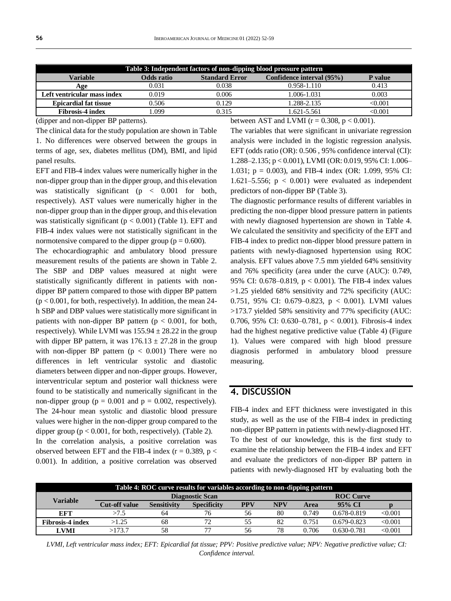| Table 3: Independent factors of non-dipping blood pressure pattern |            |                       |                           |         |  |
|--------------------------------------------------------------------|------------|-----------------------|---------------------------|---------|--|
| Variable                                                           | Odds ratio | <b>Standard Error</b> | Confidence interval (95%) | P value |  |
| Age                                                                | 0.031      | 0.038                 | $0.958 - 1.110$           | 0.413   |  |
| Left ventricular mass index                                        | 0.019      | 0.006                 | 1.006-1.031               | 0.003   |  |
| <b>Epicardial fat tissue</b>                                       | 0.506      | 0.129                 | 1.288-2.135               | <0.001  |  |
| <b>Fibrosis-4 index</b>                                            | .099       | 0.315                 | 1.621-5.561               | <0.001  |  |

(dipper and non-dipper BP patterns).

The clinical data for the study population are shown in Table 1. No differences were observed between the groups in terms of age, sex, diabetes mellitus (DM), BMI, and lipid panel results.

EFT and FIB-4 index values were numerically higher in the non-dipper group than in the dipper group, and this elevation was statistically significant (p < 0.001 for both, respectively). AST values were numerically higher in the non-dipper group than in the dipper group, and this elevation was statistically significant ( $p < 0.001$ ) (Table 1). EFT and FIB-4 index values were not statistically significant in the normotensive compared to the dipper group ( $p = 0.600$ ).

The echocardiographic and ambulatory blood pressure measurement results of the patients are shown in Table 2. The SBP and DBP values measured at night were statistically significantly different in patients with nondipper BP pattern compared to those with dipper BP pattern  $(p < 0.001$ , for both, respectively). In addition, the mean 24h SBP and DBP values were statistically more significant in patients with non-dipper BP pattern ( $p < 0.001$ , for both, respectively). While LVMI was  $155.94 \pm 28.22$  in the group with dipper BP pattern, it was  $176.13 \pm 27.28$  in the group with non-dipper BP pattern ( $p < 0.001$ ) There were no differences in left ventricular systolic and diastolic diameters between dipper and non-dipper groups. However, interventricular septum and posterior wall thickness were found to be statistically and numerically significant in the non-dipper group ( $p = 0.001$  and  $p = 0.002$ , respectively). The 24-hour mean systolic and diastolic blood pressure values were higher in the non-dipper group compared to the dipper group ( $p < 0.001$ , for both, respectively). (Table 2). In the correlation analysis, a positive correlation was observed between EFT and the FIB-4 index ( $r = 0.389$ ,  $p <$ 0.001). In addition, a positive correlation was observed

between AST and LVMI ( $r = 0.308$ ,  $p < 0.001$ ).

The variables that were significant in univariate regression analysis were included in the logistic regression analysis. EFT (odds ratio (OR): 0.506 , 95% confidence interval (CI): 1.288–2.135; p < 0.001), LVMI (OR: 0.019, 95% CI: 1.006– 1.031; p = 0.003), and FIB-4 index (OR: 1.099, 95% CI: 1.621–5.556;  $p < 0.001$ ) were evaluated as independent predictors of non-dipper BP (Table 3).

The diagnostic performance results of different variables in predicting the non-dipper blood pressure pattern in patients with newly diagnosed hypertension are shown in Table 4. We calculated the sensitivity and specificity of the EFT and FIB-4 index to predict non-dipper blood pressure pattern in patients with newly-diagnosed hypertension using ROC analysis. EFT values above 7.5 mm yielded 64% sensitivity and 76% specificity (area under the curve (AUC): 0.749, 95% CI: 0.678–0.819, p < 0.001). The FIB-4 index values >1.25 yielded 68% sensitivity and 72% specificity (AUC: 0.751, 95% CI: 0.679–0.823, p < 0.001). LVMI values >173.7 yielded 58% sensitivity and 77% specificity (AUC: 0.706, 95% CI: 0.630–0.781, p < 0.001). Fibrosis-4 index had the highest negative predictive value (Table 4) (Figure 1). Values were compared with high blood pressure diagnosis performed in ambulatory blood pressure measuring.

### **4. DISCUSSION**

FIB-4 index and EFT thickness were investigated in this study, as well as the use of the FIB-4 index in predicting non-dipper BP pattern in patients with newly-diagnosed HT. To the best of our knowledge, this is the first study to examine the relationship between the FIB-4 index and EFT and evaluate the predictors of non-dipper BP pattern in patients with newly-diagnosed HT by evaluating both the

| Table 4: ROC curve results for variables according to non-dipping pattern |                        |                    |                    |            |                  |             |                 |         |
|---------------------------------------------------------------------------|------------------------|--------------------|--------------------|------------|------------------|-------------|-----------------|---------|
| Variable                                                                  | <b>Diagnostic Scan</b> |                    |                    |            | <b>ROC Curve</b> |             |                 |         |
|                                                                           | <b>Cut-off value</b>   | <b>Sensitivity</b> | <b>Specificity</b> | <b>PPV</b> | <b>NPV</b>       | <b>Area</b> | 95% CI          |         |
| <b>EFT</b>                                                                | >7.5                   | 64                 | 76                 | 56         | 80               | 0.749       | 0.678-0.819     | < 0.001 |
| <b>Fibrosis-4 index</b>                                                   | >1.25                  | 68                 | 72                 | 55         | 82               | 0.751       | $0.679 - 0.823$ | < 0.001 |
| LVMI                                                                      | >173.7                 | 58                 |                    | 56         | 78               | 0.706       | $0.630 - 0.781$ | < 0.001 |

*LVMI, Left ventricular mass index; EFT: Epicardial fat tissue; PPV: Positive predictive value; NPV: Negative predictive value; CI: Confidence interval.*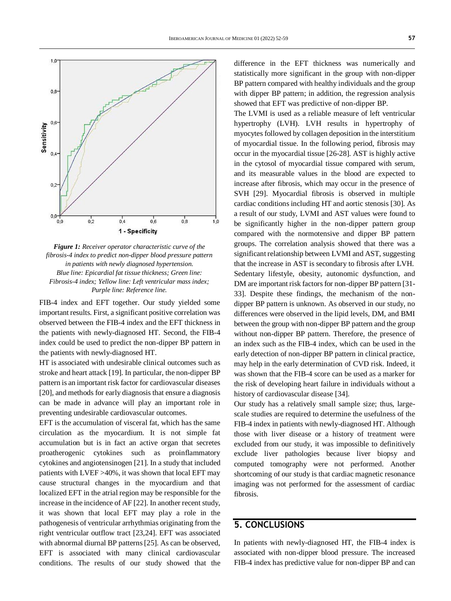

*Figure 1: Receiver operator characteristic curve of the fibrosis-4 index to predict non-dipper blood pressure pattern in patients with newly diagnosed hypertension. Blue line: Epicardial fat tissue thickness; Green line: Fibrosis-4 index; Yellow line: Left ventricular mass index; Purple line: Reference line.*

FIB-4 index and EFT together. Our study yielded some important results. First, a significant positive correlation was observed between the FIB-4 index and the EFT thickness in the patients with newly-diagnosed HT. Second, the FIB-4 index could be used to predict the non-dipper BP pattern in the patients with newly-diagnosed HT.

HT is associated with undesirable clinical outcomes such as stroke and heart attack [19]. In particular, the non-dipper BP pattern is an important risk factor for cardiovascular diseases [20], and methods for early diagnosis that ensure a diagnosis can be made in advance will play an important role in preventing undesirable cardiovascular outcomes.

EFT is the accumulation of visceral fat, which has the same circulation as the myocardium. It is not simple fat accumulation but is in fact an active organ that secretes proatherogenic cytokines such as proinflammatory cytokines and angiotensinogen [21]. In a study that included patients with LVEF >40%, it was shown that local EFT may cause structural changes in the myocardium and that localized EFT in the atrial region may be responsible for the increase in the incidence of AF [22]. In another recent study, it was shown that local EFT may play a role in the pathogenesis of ventricular arrhythmias originating from the right ventricular outflow tract [23,24]. EFT was associated with abnormal diurnal BP patterns [25]. As can be observed, EFT is associated with many clinical cardiovascular conditions. The results of our study showed that the difference in the EFT thickness was numerically and statistically more significant in the group with non-dipper BP pattern compared with healthy individuals and the group with dipper BP pattern; in addition, the regression analysis showed that EFT was predictive of non-dipper BP.

The LVMI is used as a reliable measure of left ventricular hypertrophy (LVH). LVH results in hypertrophy of myocytes followed by collagen deposition in the interstitium of myocardial tissue. In the following period, fibrosis may occur in the myocardial tissue [26-28]. AST is highly active in the cytosol of myocardial tissue compared with serum, and its measurable values in the blood are expected to increase after fibrosis, which may occur in the presence of SVH [29]. Myocardial fibrosis is observed in multiple cardiac conditions including HT and aortic stenosis [30]. As a result of our study, LVMI and AST values were found to be significantly higher in the non-dipper pattern group compared with the normotensive and dipper BP pattern groups. The correlation analysis showed that there was a significant relationship between LVMI and AST, suggesting that the increase in AST is secondary to fibrosis after LVH. Sedentary lifestyle, obesity, autonomic dysfunction, and DM are important risk factors for non-dipper BP pattern [31- 33]. Despite these findings, the mechanism of the nondipper BP pattern is unknown. As observed in our study, no differences were observed in the lipid levels, DM, and BMI between the group with non-dipper BP pattern and the group without non-dipper BP pattern. Therefore, the presence of an index such as the FIB-4 index, which can be used in the early detection of non-dipper BP pattern in clinical practice, may help in the early determination of CVD risk. Indeed, it was shown that the FIB-4 score can be used as a marker for the risk of developing heart failure in individuals without a history of cardiovascular disease [34].

Our study has a relatively small sample size; thus, largescale studies are required to determine the usefulness of the FIB-4 index in patients with newly-diagnosed HT. Although those with liver disease or a history of treatment were excluded from our study, it was impossible to definitively exclude liver pathologies because liver biopsy and computed tomography were not performed. Another shortcoming of our study is that cardiac magnetic resonance imaging was not performed for the assessment of cardiac fibrosis.

### **5. CONCLUSIONS**

In patients with newly-diagnosed HT, the FIB-4 index is associated with non-dipper blood pressure. The increased FIB-4 index has predictive value for non-dipper BP and can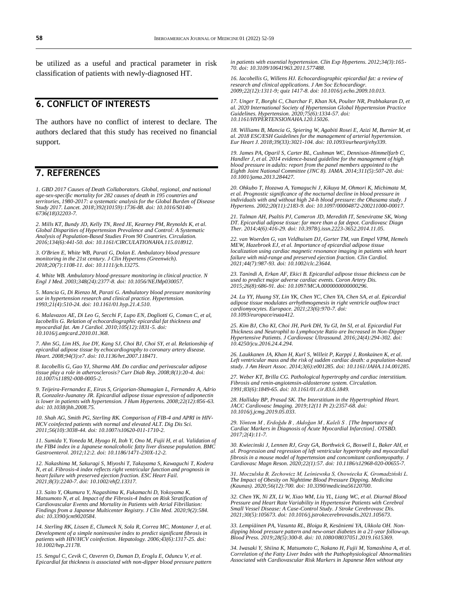be utilized as a useful and practical parameter in risk classification of patients with newly-diagnosed HT.

### **6. CONFLICT OF INTERESTS**

The authors have no conflict of interest to declare. The authors declared that this study has received no financial support.

### **7. REFERENCES**

*1. GBD 2017 Causes of Death Collaborators. Global, regional, and national age-sex-specific mortality for 282 causes of death in 195 countries and territories, 1980-2017: a systematic analysis for the Global Burden of Disease Study 2017. Lancet. 2018;392(10159):1736-88. doi[: 10.1016/S0140-](https://doi.org/10.1016/s0140-6736(18)32203-7) [6736\(18\)32203-7.](https://doi.org/10.1016/s0140-6736(18)32203-7)*

*2. Mills KT, Bundy JD, Kelly TN, Reed JE, Kearney PM, Reynolds K, et al. Global Disparities of Hypertension Prevalence and Control: A Systematic Analysis of Population-Based Studies From 90 Countries. Circulation. 2016;134(6):441-50. doi[: 10.1161/CIRCULATIONAHA.115.018912.](https://doi.org/10.1161/circulationaha.115.018912)*

*3. O'Brien E, White WB, Parati G, Dolan E. Ambulatory blood pressure monitoring in the 21st century. J Clin Hypertens (Greenwich). 2018;20(7):1108-11. doi[: 10.1111/jch.13275.](https://doi.org/10.1111/jch.13275)*

*4. White WB. Ambulatory blood-pressure monitoring in clinical practice. N Engl J Med. 2003;348(24):2377-8. doi[: 10.1056/NEJMp030057.](https://doi.org/10.1056/nejmp030057)*

*5. Mancia G, Di Rienzo M, Parati G. Ambulatory blood pressure monitoring use in hypertension research and clinical practice. Hypertension. 1993;21(4):510-24. doi[: 10.1161/01.hyp.21.4.510.](https://doi.org/10.1161/01.hyp.21.4.510)*

*6. Malavazos AE, Di Leo G, Secchi F, Lupo EN, Dogliotti G, Coman C, et al, Iacobellis G. Relation of echocardiographic epicardial fat thickness and myocardial fat. Am J Cardiol. 2010;105(12):1831-5. doi: [10.1016/j.amjcard.2010.01.368.](https://doi.org/10.1016/j.amjcard.2010.01.368)*

*7. Ahn SG, Lim HS, Joe DY, Kang SJ, Choi BJ, Choi SY, et al. Relationship of epicardial adipose tissue by echocardiography to coronary artery disease. Heart. 2008;94(3):e7. doi[: 10.1136/hrt.2007.118471.](https://doi.org/10.1136/hrt.2007.118471)*

*8. Iacobellis G, Gao YJ, Sharma AM. Do cardiac and perivascular adipose tissue play a role in atherosclerosis? Curr Diab Rep. 2008;8(1):20-4. doi: [10.1007/s11892-008-0005-2.](https://doi.org/10.1007/s11892-008-0005-2)*

*9. Teijeira-Fernandez E, Eiras S, Grigorian-Shamagian L, Fernandez A, Adrio B, Gonzalez-Juanatey JR. Epicardial adipose tissue expression of adiponectin is lower in patients with hypertension. J Hum Hypertens. 2008;22(12):856-63. doi[: 10.1038/jhh.2008.75.](https://doi.org/10.1038/jhh.2008.75)*

*10. Shah AG, Smith PG, Sterling RK. Comparison of FIB-4 and APRI in HIV-HCV coinfected patients with normal and elevated ALT. Dig Dis Sci. 2011;56(10):3038-44. doi[: 10.1007/s10620-011-1710-2.](https://doi.org/10.1007/s10620-011-1710-2)*

*11. Sumida Y, Yoneda M, Hyogo H, Itoh Y, Ono M, Fujii H, et al. Validation of the FIB4 index in a Japanese nonalcoholic fatty liver disease population. BMC Gastroenterol. 2012;12:2. doi[: 10.1186/1471-230X-12-2.](https://doi.org/10.1186/1471-230x-12-2)*

*12. Nakashima M, Sakuragi S, Miyoshi T, Takayama S, Kawaguchi T, Kodera N, et al. Fibrosis-4 index reflects right ventricular function and prognosis in heart failure with preserved ejection fraction. ESC Heart Fail. 2021;8(3):2240-7. doi: [10.1002/ehf2.13317.](https://doi.org/10.1002/ehf2.13317)*

*13. Saito Y, Okumura Y, Nagashima K, Fukamachi D, Yokoyama K, Matsumoto N, et al. Impact of the Fibrosis-4 Index on Risk Stratification of Cardiovascular Events and Mortality in Patients with Atrial Fibrillation: Findings from a Japanese Multicenter Registry. J Clin Med. 2020;9(2):584. doi[: 10.3390/jcm9020584.](https://doi.org/10.3390/jcm9020584)*

*14. Sterling RK, Lissen E, Clumeck N, Sola R, Correa MC, Montaner J, et al. Development of a simple noninvasive index to predict significant fibrosis in patients with HIV/HCV coinfection. Hepatology. 2006;43(6):1317-25. doi: [10.1002/hep.21178.](https://doi.org/10.1002/hep.21178)*

*15. Sengul C, Cevik C, Ozveren O, Duman D, Eroglu E, Oduncu V, et al. Epicardial fat thickness is associated with non-dipper blood pressure pattern*  *in patients with essential hypertension. Clin Exp Hypertens. 2012;34(3):165- 70. doi[: 10.3109/10641963.2011.577488.](https://doi.org/10.3109/10641963.2011.577488)*

*16. Iacobellis G, Willens HJ. Echocardiographic epicardial fat: a review of research and clinical applications. J Am Soc Echocardiogr. 2009;22(12):1311-9; quiz 1417-8. doi[: 10.1016/j.echo.2009.10.013.](https://doi.org/10.1016/j.echo.2009.10.013)*

*17. Unger T, Borghi C, Charchar F, Khan NA, Poulter NR, Prabhakaran D, et al. 2020 International Society of Hypertension Global Hypertension Practice Guidelines. Hypertension. 2020;75(6):1334-57. doi: [10.1161/HYPERTENSIONAHA.120.15026.](https://doi.org/10.1161/hypertensionaha.120.15026)*

*18. Williams B, Mancia G, Spiering W, Agabiti Rosei E, Azizi M, Burnier M, et al. 2018 ESC/ESH Guidelines for the management of arterial hypertension. Eur Heart J. 2018;39(33):3021-104. doi[: 10.1093/eurheartj/ehy339.](https://doi.org/10.1093/eurheartj/ehy339)*

*19. James PA, Oparil S, Carter BL, Cushman WC, Dennison-Himmelfarb C, Handler J, et al. 2014 evidence-based guideline for the management of high blood pressure in adults: report from the panel members appointed to the Eighth Joint National Committee (JNC 8). JAMA. 2014;311(5):507-20. doi: [10.1001/jama.2013.284427.](https://doi.org/10.1001/jama.2013.284427)*

*20. Ohkubo T, Hozawa A, Yamaguchi J, Kikuya M, Ohmori K, Michimata M, et al. Prognostic significance of the nocturnal decline in blood pressure in individuals with and without high 24-h blood pressure: the Ohasama study. J Hypertens. 2002;20(11):2183-9. doi[: 10.1097/00004872-200211000-00017.](https://doi.org/10.1097/00004872-200211000-00017)*

*21. Talman AH, Psaltis PJ, Cameron JD, Meredith IT, Seneviratne SK, Wong DT. Epicardial adipose tissue: far more than a fat depot. Cardiovasc Diagn Ther. 2014;4(6):416-29. doi[: 10.3978/j.issn.2223-3652.2014.11.05.](https://doi.org/10.3978/j.issn.2223-3652.2014.11.05)*

*22. van Woerden G, van Veldhuisen DJ, Gorter TM, van Empel VPM, Hemels MEW, Hazebroek EJ, et al. Importance of epicardial adipose tissue localization using cardiac magnetic resonance imaging in patients with heart failure with mid-range and preserved ejection fraction. Clin Cardiol. 2021;44(7):987-93. doi[: 10.1002/clc.23644.](https://doi.org/10.1002/clc.23644)*

*23. Tanindi A, Erkan AF, Ekici B. Epicardial adipose tissue thickness can be used to predict major adverse cardiac events. Coron Artery Dis. 2015;26(8):686-91. doi[: 10.1097/MCA.0000000000000296.](https://doi.org/10.1097/mca.0000000000000296)*

*24. Lu YY, Huang SY, Lin YK, Chen YC, Chen YA, Chen SA, et al. Epicardial adipose tissue modulates arrhythmogenesis in right ventricle outflow tract cardiomyocytes. Europace. 2021;23(6):970-7. doi: [10.1093/europace/euaa412.](https://doi.org/10.1093/europace/euaa412)*

*25. Kim BJ, Cho KI, Choi JH, Park DH, Yu GI, Im SI, et al. Epicardial Fat Thickness and Neutrophil to Lymphocyte Ratio are Increased in Non-Dipper Hypertensive Patients. J Cardiovasc Ultrasound. 2016;24(4):294-302. doi: [10.4250/jcu.2016.24.4.294.](https://doi.org/10.4250/jcu.2016.24.4.294)*

*26. Laukkanen JA, Khan H, Kurl S, Willeit P, Karppi J, Ronkainen K, et al. Left ventricular mass and the risk of sudden cardiac death: a population-based study. J Am Heart Assoc. 2014;3(6):e001285. doi[: 10.1161/JAHA.114.001285.](https://doi.org/10.1161/jaha.114.001285)*

*27. Weber KT, Brilla CG. Pathological hypertrophy and cardiac interstitium. Fibrosis and renin-angiotensin-aldosterone system. Circulation. 1991;83(6):1849-65. doi[: 10.1161/01.cir.83.6.1849.](https://doi.org/10.1161/01.cir.83.6.1849)*

*28. Halliday BP, Prasad SK. The Interstitium in the Hypertrophied Heart. JACC Cardiovasc Imaging. 2019;12(11 Pt 2):2357-68. doi: [10.1016/j.jcmg.2019.05.033.](https://doi.org/10.1016/j.jcmg.2019.05.033)*

*29. Yöntem M , Erdoğdu B , Akdoğan M , Kaleli S . [The Importance of Cardiac Markers in Diagnosis of Acute Myocardial Infarction]. OTSBD. 2017;2(4):11-7.*

*30. Kwiecinski J, Lennen RJ, Gray GA, Borthwick G, Boswell L, Baker AH, et al. Progression and regression of left ventricular hypertrophy and myocardial fibrosis in a mouse model of hypertension and concomitant cardiomyopathy. J Cardiovasc Magn Reson. 2020;22(1):57. doi: [10.1186/s12968-020-00655-7.](https://doi.org/10.1186/s12968-020-00655-7)*

*31. Moczulska B, Zechowicz M, Leśniewska S, Osowiecka K, Gromadziński L. The Impact of Obesity on Nighttime Blood Pressure Dipping. Medicina (Kaunas). 2020;56(12):700. doi[: 10.3390/medicina56120700.](https://doi.org/10.3390/medicina56120700)*

*32. Chen YK, Ni ZX, Li W, Xiao WM, Liu YL, Liang WC, et al. Diurnal Blood Pressure and Heart Rate Variability in Hypertensive Patients with Cerebral Small Vessel Disease: A Case-Control Study. J Stroke Cerebrovasc Dis. 2021;30(5):105673. doi[: 10.1016/j.jstrokecerebrovasdis.2021.105673.](https://doi.org/10.1016/j.jstrokecerebrovasdis.2021.105673)*

*33. Lempiäinen PA, Vasunta RL, Bloigu R, Kesäniemi YA, Ukkola OH. Nondipping blood pressure pattern and new-onset diabetes in a 21-year follow-up. Blood Press. 2019;28(5):300-8. doi[: 10.1080/08037051.2019.1615369.](https://doi.org/10.1080/08037051.2019.1615369)*

*34. Iwasaki Y, Shiina K, Matsumoto C, Nakano H, Fujii M, Yamashina A, et al. Correlation of the Fatty Liver Index with the Pathophysiological Abnormalities Associated with Cardiovascular Risk Markers in Japanese Men without any*